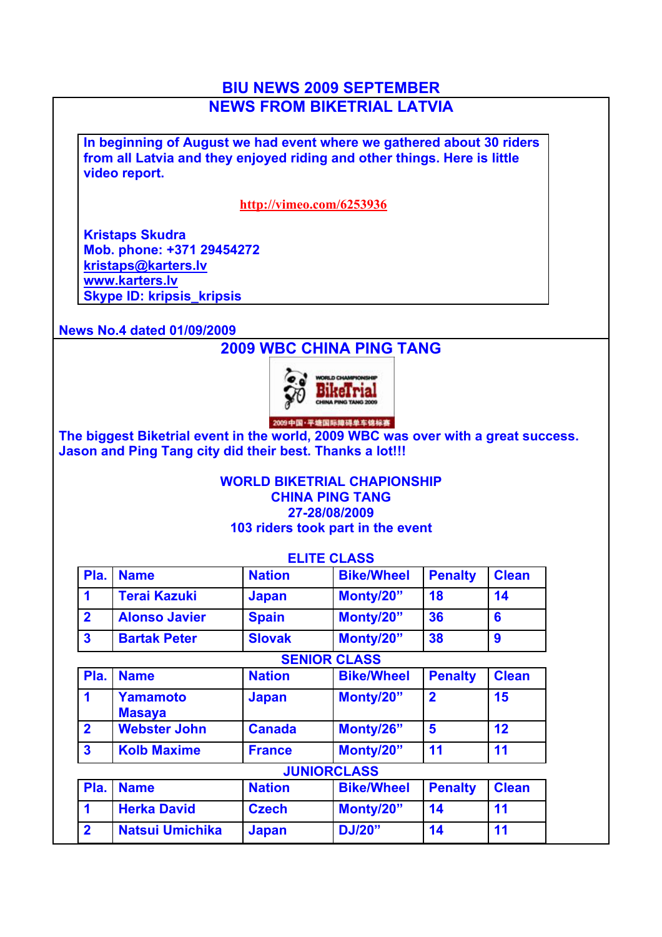## **BIU NEWS 2009 SEPTEMBER NEWS FROM BIKETRIAL LATVIA**

**In beginning of August we had event where we gathered about 30 riders from all Latvia and they enjoyed riding and other things. Here is little video report.**

#### **http://vimeo.com/6253936**

**Kristaps Skudra Mob. phone: +371 29454272 kristaps@karters.lv www.karters.lv Skype ID: kripsis\_kripsis**

**News No.4 dated 01/09/2009**

# **2009 WBC CHINA PING TANG**



**The biggest Biketrial event in the world, 2009 WBC was over with a great success. Jason and Ping Tang city did their best. Thanks a lot!!!**

### **WORLD BIKETRIAL CHAPIONSHIP CHINA PING TANG 27-28/08/2009 103 riders took part in the event**

|                         |                                  |               | <b>ELITE CLASS</b>  |                |              |
|-------------------------|----------------------------------|---------------|---------------------|----------------|--------------|
| Pla.                    | <b>Name</b>                      | <b>Nation</b> | <b>Bike/Wheel</b>   | <b>Penalty</b> | <b>Clean</b> |
| 1                       | <b>Terai Kazuki</b>              | <b>Japan</b>  | Monty/20"           | 18             | 14           |
| $\overline{2}$          | <b>Alonso Javier</b>             | <b>Spain</b>  | Monty/20"           | 36             | 6            |
| 3                       | <b>Bartak Peter</b>              | <b>Slovak</b> | Monty/20"           | 38             | 9            |
|                         |                                  |               | <b>SENIOR CLASS</b> |                |              |
| Pla.                    | <b>Name</b>                      | <b>Nation</b> | <b>Bike/Wheel</b>   | <b>Penalty</b> | <b>Clean</b> |
| 1                       | <b>Yamamoto</b><br><b>Masaya</b> | <b>Japan</b>  | Monty/20"           | $\overline{2}$ | 15           |
| $\overline{2}$          | <b>Webster John</b>              | <b>Canada</b> | Monty/26"           | 5              | 12           |
| $\overline{\mathbf{3}}$ | <b>Kolb Maxime</b>               | <b>France</b> | Monty/20"           | 11             | 11           |
|                         |                                  |               | <b>JUNIORCLASS</b>  |                |              |
| Pla.                    | <b>Name</b>                      | <b>Nation</b> | <b>Bike/Wheel</b>   | <b>Penalty</b> | <b>Clean</b> |
| 1                       | <b>Herka David</b>               | <b>Czech</b>  | Monty/20"           | 14             | 11           |
| $\overline{\mathbf{2}}$ | <b>Natsui Umichika</b>           | <b>Japan</b>  | <b>DJ/20"</b>       | 14             | 11           |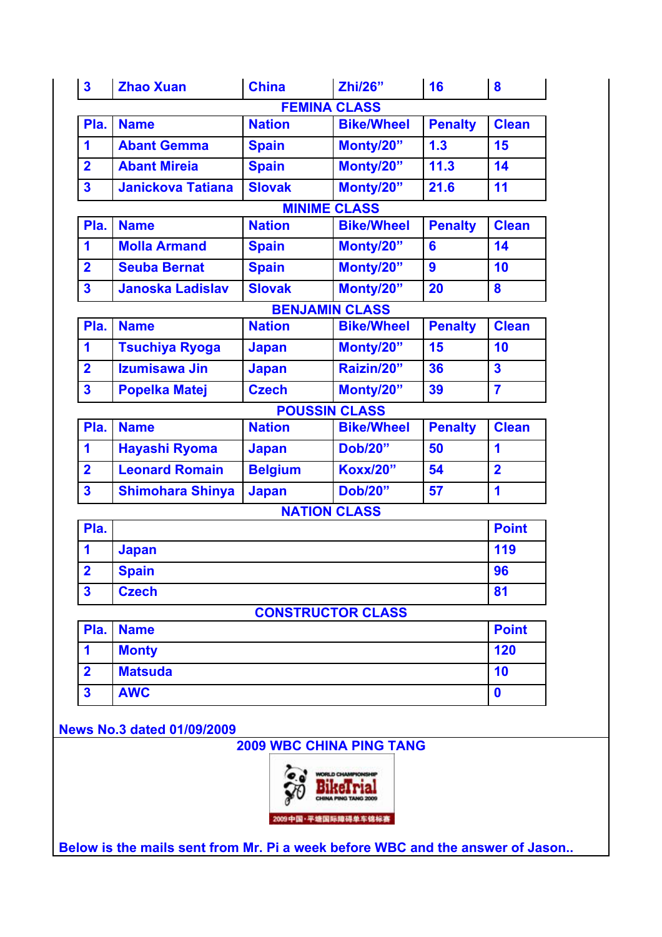| $\overline{\mathbf{3}}$ | <b>Zhao Xuan</b>         | <b>China</b>   | <b>Zhi/26"</b>           | 16               | 8                       |  |
|-------------------------|--------------------------|----------------|--------------------------|------------------|-------------------------|--|
|                         |                          |                | <b>FEMINA CLASS</b>      |                  |                         |  |
| Pla.                    | <b>Name</b>              | <b>Nation</b>  | <b>Bike/Wheel</b>        | <b>Penalty</b>   | <b>Clean</b>            |  |
| 1                       | <b>Abant Gemma</b>       | <b>Spain</b>   | Monty/20"                | 1.3              | 15                      |  |
| $\overline{2}$          | <b>Abant Mireia</b>      | <b>Spain</b>   | Monty/20"                | 11.3             | 14                      |  |
| $\overline{\mathbf{3}}$ | <b>Janickova Tatiana</b> | <b>Slovak</b>  | Monty/20"                | 21.6             | 11                      |  |
|                         |                          |                | <b>MINIME CLASS</b>      |                  |                         |  |
| Pla.                    | <b>Name</b>              | <b>Nation</b>  | <b>Bike/Wheel</b>        | <b>Penalty</b>   | <b>Clean</b>            |  |
| 1                       | <b>Molla Armand</b>      | <b>Spain</b>   | Monty/20"                | 6                | 14                      |  |
| $\overline{\mathbf{2}}$ | <b>Seuba Bernat</b>      | <b>Spain</b>   | Monty/20"                | $\boldsymbol{9}$ | 10                      |  |
| $\overline{\mathbf{3}}$ | <b>Janoska Ladislav</b>  | <b>Slovak</b>  | Monty/20"                | 20               | 8                       |  |
|                         |                          |                | <b>BENJAMIN CLASS</b>    |                  |                         |  |
| Pla.                    | <b>Name</b>              | <b>Nation</b>  | <b>Bike/Wheel</b>        | <b>Penalty</b>   | <b>Clean</b>            |  |
| 1                       | <b>Tsuchiya Ryoga</b>    | <b>Japan</b>   | Monty/20"                | 15               | 10                      |  |
| $\overline{2}$          | Izumisawa Jin            | <b>Japan</b>   | Raizin/20"               | 36               | $\overline{\mathbf{3}}$ |  |
| $\mathbf{3}$            | <b>Popelka Matej</b>     | <b>Czech</b>   | Monty/20"                | 39               | $\overline{7}$          |  |
|                         |                          |                | <b>POUSSIN CLASS</b>     |                  |                         |  |
| Pla.                    | <b>Name</b>              | <b>Nation</b>  | <b>Bike/Wheel</b>        | <b>Penalty</b>   | <b>Clean</b>            |  |
| 1                       | <b>Hayashi Ryoma</b>     | <b>Japan</b>   | <b>Dob/20"</b>           | 50               | $\mathbf 1$             |  |
| $\overline{\mathbf{2}}$ | <b>Leonard Romain</b>    | <b>Belgium</b> | <b>Koxx/20"</b>          | 54               | $\overline{\mathbf{2}}$ |  |
| $\mathbf{3}$            | <b>Shimohara Shinya</b>  | <b>Japan</b>   | <b>Dob/20"</b>           | 57               | $\mathbf 1$             |  |
|                         |                          |                | <b>NATION CLASS</b>      |                  |                         |  |
| Pla.                    |                          |                |                          |                  |                         |  |
| 1                       | <b>Japan</b>             |                |                          |                  |                         |  |
| $\overline{2}$          | <b>Spain</b>             |                |                          |                  | 96                      |  |
| $\mathbf{3}$            | <b>Czech</b>             |                |                          |                  | 81                      |  |
|                         |                          |                | <b>CONSTRUCTOR CLASS</b> |                  |                         |  |
| Pla.                    | <b>Name</b>              |                |                          |                  |                         |  |
| 1                       | <b>Monty</b>             |                |                          |                  |                         |  |
| $\overline{\mathbf{2}}$ | <b>Matsuda</b>           |                |                          |                  |                         |  |
| $\overline{\mathbf{3}}$ | <b>AWC</b>               |                |                          |                  | $\boldsymbol{0}$        |  |

**News No.3 dated 01/09/2009**

**2009 WBC CHINA PING TANG**



**Below is the mails sent from Mr. Pi a week before WBC and the answer of Jason..**